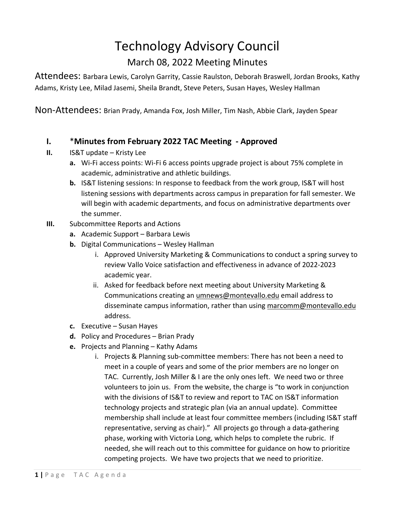## Technology Advisory Council

## March 08, 2022 Meeting Minutes

Attendees: Barbara Lewis, Carolyn Garrity, Cassie Raulston, Deborah Braswell, Jordan Brooks, Kathy Adams, Kristy Lee, Milad Jasemi, Sheila Brandt, Steve Peters, Susan Hayes, Wesley Hallman

Non-Attendees: Brian Prady, Amanda Fox, Josh Miller, Tim Nash, Abbie Clark, Jayden Spear

## **I.** \***Minutes from February 2022 TAC Meeting - Approved**

- **II.** IS&T update Kristy Lee
	- **a.** Wi-Fi access points: Wi-Fi 6 access points upgrade project is about 75% complete in academic, administrative and athletic buildings.
	- **b.** IS&T listening sessions: In response to feedback from the work group, IS&T will host listening sessions with departments across campus in preparation for fall semester. We will begin with academic departments, and focus on administrative departments over the summer.
- **III.** Subcommittee Reports and Actions
	- **a.** Academic Support Barbara Lewis
	- **b.** Digital Communications Wesley Hallman
		- i. Approved University Marketing & Communications to conduct a spring survey to review Vallo Voice satisfaction and effectiveness in advance of 2022-2023 academic year.
		- ii. Asked for feedback before next meeting about University Marketing & Communications creating an [umnews@montevallo.edu](mailto:umnews@montevallo.edu) email address to disseminate campus information, rather than using [marcomm@montevallo.edu](mailto:marcomm@montevallo.edu) address.
	- **c.** Executive Susan Hayes
	- **d.** Policy and Procedures Brian Prady
	- **e.** Projects and Planning Kathy Adams
		- i. Projects & Planning sub-committee members: There has not been a need to meet in a couple of years and some of the prior members are no longer on TAC. Currently, Josh Miller & I are the only ones left. We need two or three volunteers to join us. From the website, the charge is "to work in conjunction with the divisions of IS&T to review and report to TAC on IS&T information technology projects and strategic plan (via an annual update). Committee membership shall include at least four committee members (including IS&T staff representative, serving as chair)." All projects go through a data-gathering phase, working with Victoria Long, which helps to complete the rubric. If needed, she will reach out to this committee for guidance on how to prioritize competing projects. We have two projects that we need to prioritize.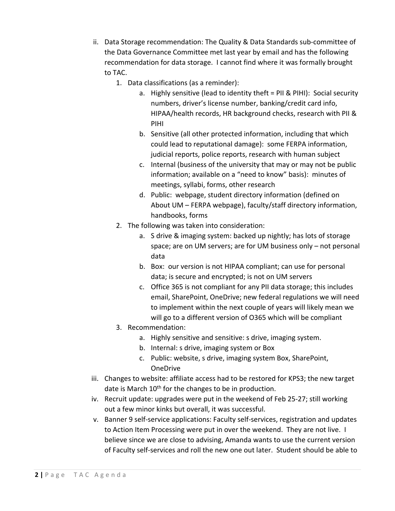- ii. Data Storage recommendation: The Quality & Data Standards sub-committee of the Data Governance Committee met last year by email and has the following recommendation for data storage. I cannot find where it was formally brought to TAC.
	- 1. Data classifications (as a reminder):
		- a. Highly sensitive (lead to identity theft = PII & PIHI): Social security numbers, driver's license number, banking/credit card info, HIPAA/health records, HR background checks, research with PII & PIHI
		- b. Sensitive (all other protected information, including that which could lead to reputational damage): some FERPA information, judicial reports, police reports, research with human subject
		- c. Internal (business of the university that may or may not be public information; available on a "need to know" basis): minutes of meetings, syllabi, forms, other research
		- d. Public: webpage, student directory information (defined on About UM – FERPA webpage), faculty/staff directory information, handbooks, forms
	- 2. The following was taken into consideration:
		- a. S drive & imaging system: backed up nightly; has lots of storage space; are on UM servers; are for UM business only – not personal data
		- b. Box: our version is not HIPAA compliant; can use for personal data; is secure and encrypted; is not on UM servers
		- c. Office 365 is not compliant for any PII data storage; this includes email, SharePoint, OneDrive; new federal regulations we will need to implement within the next couple of years will likely mean we will go to a different version of O365 which will be compliant
	- 3. Recommendation:
		- a. Highly sensitive and sensitive: s drive, imaging system.
		- b. Internal: s drive, imaging system or Box
		- c. Public: website, s drive, imaging system Box, SharePoint, OneDrive
- iii. Changes to website: affiliate access had to be restored for KPS3; the new target date is March 10<sup>th</sup> for the changes to be in production.
- iv. Recruit update: upgrades were put in the weekend of Feb 25-27; still working out a few minor kinks but overall, it was successful.
- v. Banner 9 self-service applications: Faculty self-services, registration and updates to Action Item Processing were put in over the weekend. They are not live. I believe since we are close to advising, Amanda wants to use the current version of Faculty self-services and roll the new one out later. Student should be able to